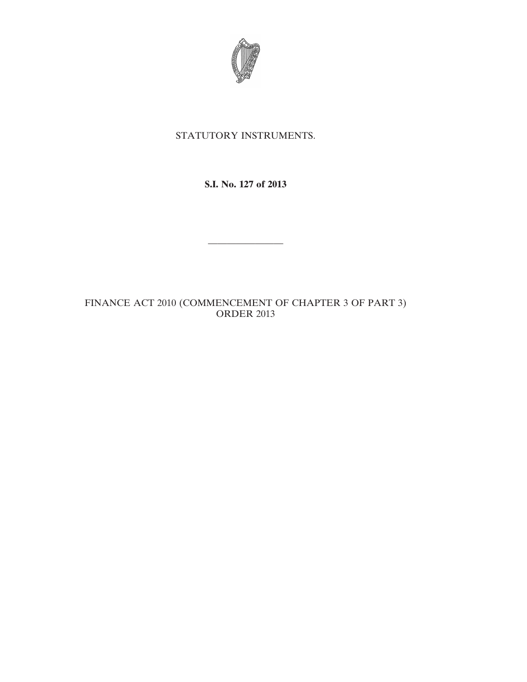

## STATUTORY INSTRUMENTS.

**S.I. No. 127 of 2013**

————————

FINANCE ACT 2010 (COMMENCEMENT OF CHAPTER 3 OF PART 3) ORDER 2013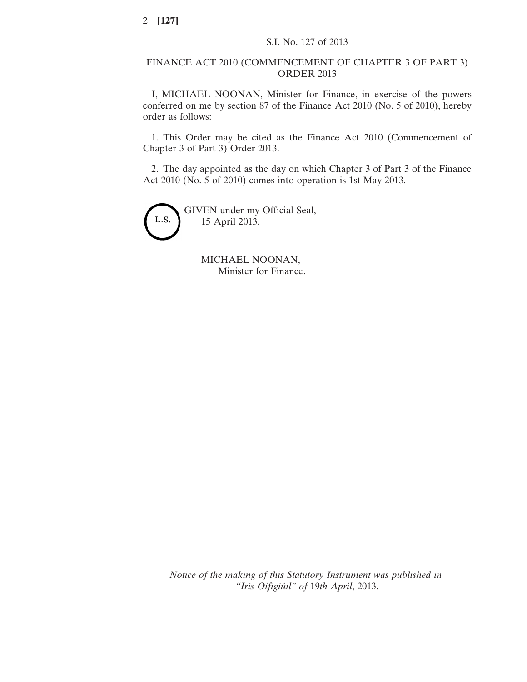## FINANCE ACT 2010 (COMMENCEMENT OF CHAPTER 3 OF PART 3) ORDER 2013

I, MICHAEL NOONAN, Minister for Finance, in exercise of the powers conferred on me by section 87 of the Finance Act 2010 (No. 5 of 2010), hereby order as follows:

1. This Order may be cited as the Finance Act 2010 (Commencement of Chapter 3 of Part 3) Order 2013.

2. The day appointed as the day on which Chapter 3 of Part 3 of the Finance Act 2010 (No. 5 of 2010) comes into operation is 1st May 2013.



MICHAEL NOONAN, Minister for Finance.

*Notice of the making of this Statutory Instrument was published in "Iris Oifigiúil" of* 19*th April*, 2013.